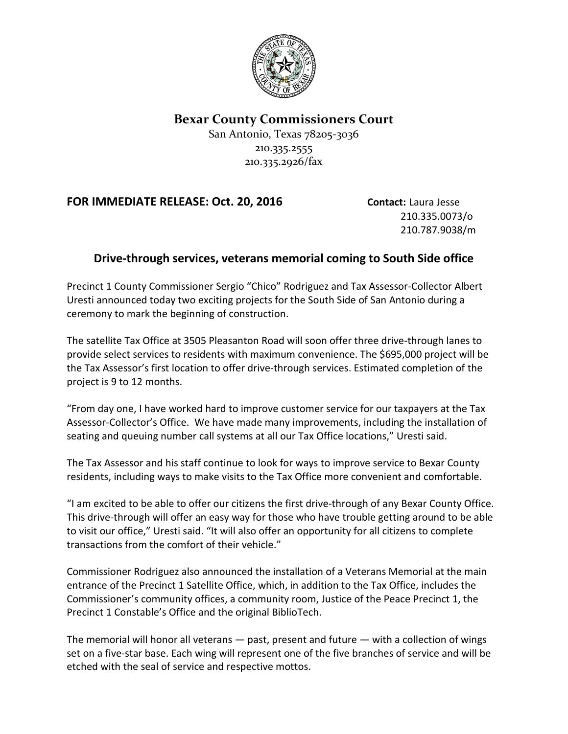

## **Bexar County Commissioners Court**

San Antonio, Texas 78205-3036 210.335.2555 210.335.2926/fax

## **FOR IMMEDIATE RELEASE: Oct. 20, 2016 Contact:** Laura Jesse

210.335.0073/o 210.787.9038/m

## **Drive-through services, veterans memorial coming to South Side office**

Precinct 1 County Commissioner Sergio "Chico" Rodriguez and Tax Assessor-Collector Albert Uresti announced today two exciting projects for the South Side of San Antonio during a ceremony to mark the beginning of construction.

The satellite Tax Office at 3505 Pleasanton Road will soon offer three drive-through lanes to provide select services to residents with maximum convenience. The \$695,000 project will be the Tax Assessor's first location to offer drive-through services. Estimated completion of the project is 9 to 12 months.

"From day one, I have worked hard to improve customer service for our taxpayers at the Tax Assessor-Collector's Office. We have made many improvements, including the installation of seating and queuing number call systems at all our Tax Office locations," Uresti said.

The Tax Assessor and his staff continue to look for ways to improve service to Bexar County residents, including ways to make visits to the Tax Office more convenient and comfortable.

"I am excited to be able to offer our citizens the first drive-through of any Bexar County Office. This drive-through will offer an easy way for those who have trouble getting around to be able to visit our office," Uresti said. "It will also offer an opportunity for all citizens to complete transactions from the comfort of their vehicle."

Commissioner Rodriguez also announced the installation of a Veterans Memorial at the main entrance of the Precinct 1 Satellite Office, which, in addition to the Tax Office, includes the Commissioner's community offices, a community room, Justice of the Peace Precinct 1, the Precinct 1 Constable's Office and the original BiblioTech.

The memorial will honor all veterans — past, present and future — with a collection of wings set on a five-star base. Each wing will represent one of the five branches of service and will be etched with the seal of service and respective mottos.